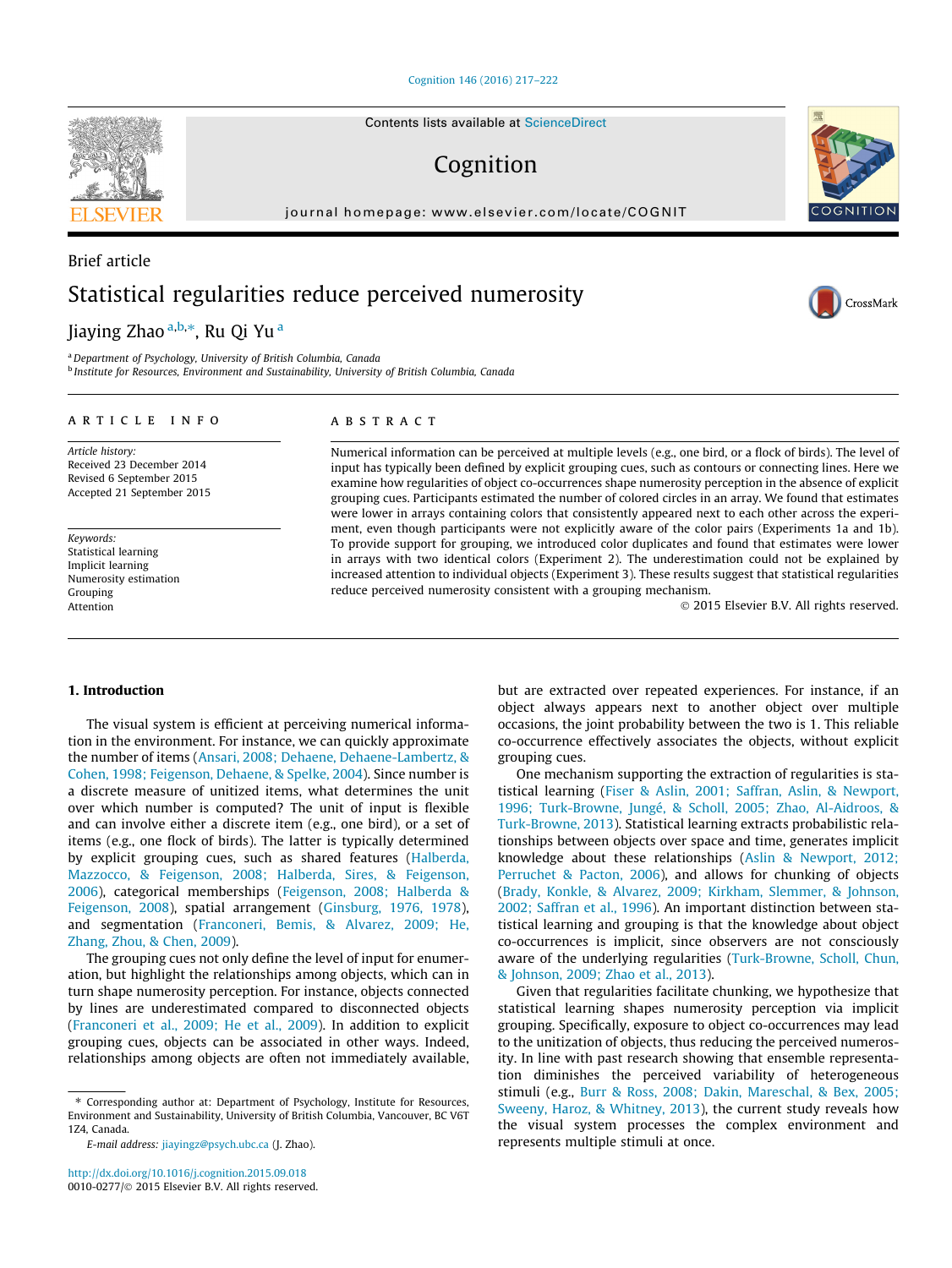[Cognition 146 \(2016\) 217–222](http://dx.doi.org/10.1016/j.cognition.2015.09.018)

# Cognition

journal homepage: [www.elsevier.com/locate/COGNIT](http://www.elsevier.com/locate/COGNIT)

# Brief article Statistical regularities reduce perceived numerosity

Jiaying Zhao <sup>a,b,</sup>\*, Ru Qi Yu <sup>a</sup>

<sup>a</sup> Department of Psychology, University of British Columbia, Canada <sup>b</sup> Institute for Resources, Environment and Sustainability, University of British Columbia, Canada

## article info

Article history: Received 23 December 2014 Revised 6 September 2015 Accepted 21 September 2015

Keywords: Statistical learning Implicit learning Numerosity estimation Grouping Attention

# **ABSTRACT**

Numerical information can be perceived at multiple levels (e.g., one bird, or a flock of birds). The level of input has typically been defined by explicit grouping cues, such as contours or connecting lines. Here we examine how regularities of object co-occurrences shape numerosity perception in the absence of explicit grouping cues. Participants estimated the number of colored circles in an array. We found that estimates were lower in arrays containing colors that consistently appeared next to each other across the experiment, even though participants were not explicitly aware of the color pairs (Experiments 1a and 1b). To provide support for grouping, we introduced color duplicates and found that estimates were lower in arrays with two identical colors (Experiment 2). The underestimation could not be explained by increased attention to individual objects (Experiment 3). These results suggest that statistical regularities reduce perceived numerosity consistent with a grouping mechanism.

grouping cues.

2015 Elsevier B.V. All rights reserved.

## 1. Introduction

The visual system is efficient at perceiving numerical information in the environment. For instance, we can quickly approximate the number of items [\(Ansari, 2008; Dehaene, Dehaene-Lambertz, &](#page-5-0) [Cohen, 1998; Feigenson, Dehaene, & Spelke, 2004\)](#page-5-0). Since number is a discrete measure of unitized items, what determines the unit over which number is computed? The unit of input is flexible and can involve either a discrete item (e.g., one bird), or a set of items (e.g., one flock of birds). The latter is typically determined by explicit grouping cues, such as shared features [\(Halberda,](#page-5-0) [Mazzocco, & Feigenson, 2008; Halberda, Sires, & Feigenson,](#page-5-0) [2006](#page-5-0)), categorical memberships ([Feigenson, 2008; Halberda &](#page-5-0) [Feigenson, 2008\)](#page-5-0), spatial arrangement ([Ginsburg, 1976, 1978\)](#page-5-0), and segmentation [\(Franconeri, Bemis, & Alvarez, 2009; He,](#page-5-0) [Zhang, Zhou, & Chen, 2009\)](#page-5-0).

The grouping cues not only define the level of input for enumeration, but highlight the relationships among objects, which can in turn shape numerosity perception. For instance, objects connected by lines are underestimated compared to disconnected objects ([Franconeri et al., 2009; He et al., 2009\)](#page-5-0). In addition to explicit grouping cues, objects can be associated in other ways. Indeed, relationships among objects are often not immediately available,

aware of the underlying regularities [\(Turk-Browne, Scholl, Chun,](#page-5-0) [& Johnson, 2009; Zhao et al., 2013](#page-5-0)). Given that regularities facilitate chunking, we hypothesize that statistical learning shapes numerosity perception via implicit grouping. Specifically, exposure to object co-occurrences may lead to the unitization of objects, thus reducing the perceived numerosity. In line with past research showing that ensemble representation diminishes the perceived variability of heterogeneous stimuli (e.g., [Burr & Ross, 2008; Dakin, Mareschal, & Bex, 2005;](#page-5-0) [Sweeny, Haroz, & Whitney, 2013](#page-5-0)), the current study reveals how the visual system processes the complex environment and represents multiple stimuli at once.

but are extracted over repeated experiences. For instance, if an object always appears next to another object over multiple occasions, the joint probability between the two is 1. This reliable co-occurrence effectively associates the objects, without explicit

One mechanism supporting the extraction of regularities is statistical learning ([Fiser & Aslin, 2001; Saffran, Aslin, & Newport,](#page-5-0) [1996; Turk-Browne, Jungé, & Scholl, 2005; Zhao, Al-Aidroos, &](#page-5-0) [Turk-Browne, 2013](#page-5-0)). Statistical learning extracts probabilistic relationships between objects over space and time, generates implicit knowledge about these relationships [\(Aslin & Newport, 2012;](#page-5-0) [Perruchet & Pacton, 2006](#page-5-0)), and allows for chunking of objects ([Brady, Konkle, & Alvarez, 2009; Kirkham, Slemmer, & Johnson,](#page-5-0) [2002; Saffran et al., 1996\)](#page-5-0). An important distinction between statistical learning and grouping is that the knowledge about object co-occurrences is implicit, since observers are not consciously







<sup>⇑</sup> Corresponding author at: Department of Psychology, Institute for Resources, Environment and Sustainability, University of British Columbia, Vancouver, BC V6T 1Z4, Canada.

E-mail address: [jiayingz@psych.ubc.ca](mailto:jiayingz@psych.ubc.ca) (J. Zhao).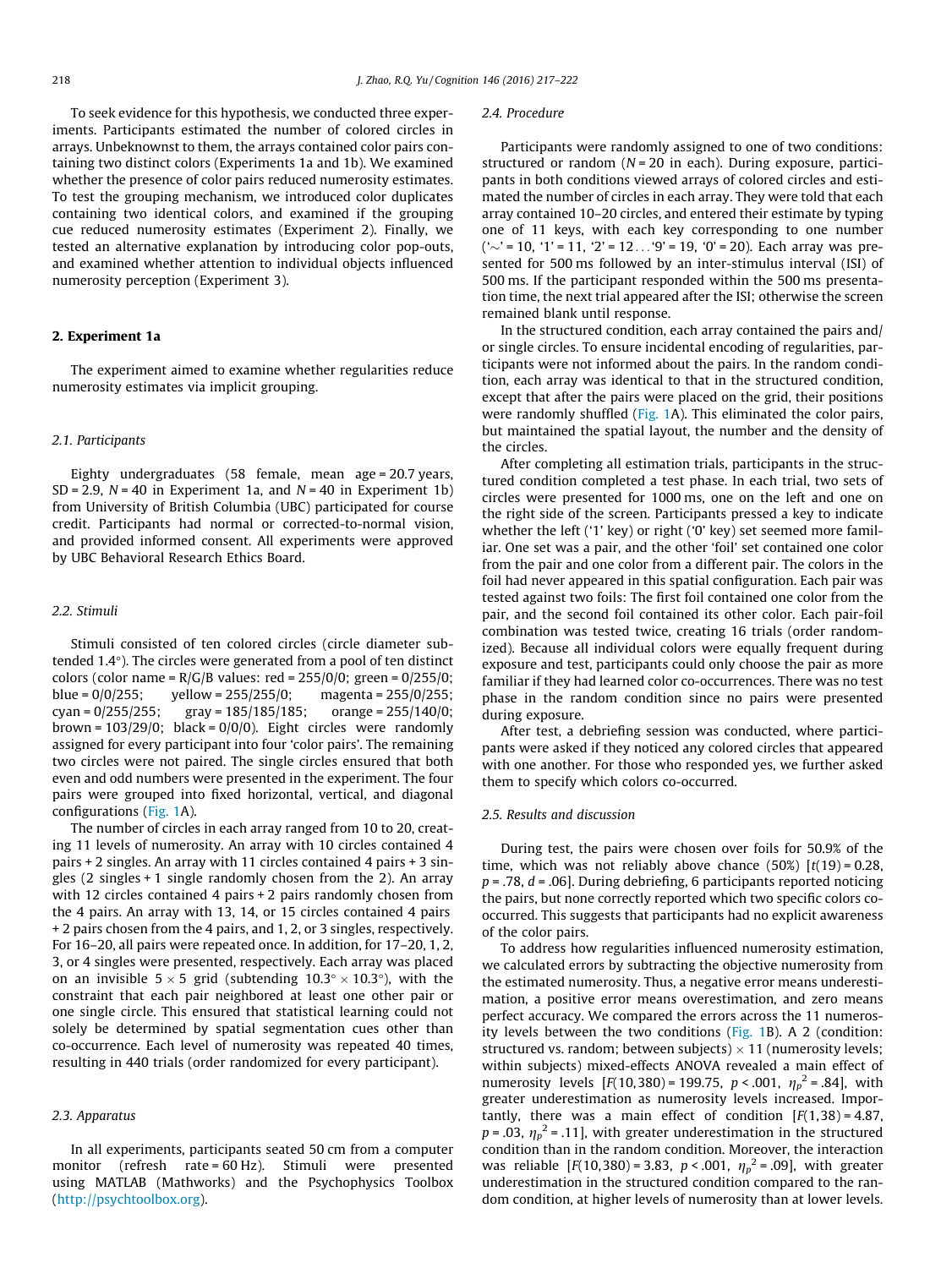To seek evidence for this hypothesis, we conducted three experiments. Participants estimated the number of colored circles in arrays. Unbeknownst to them, the arrays contained color pairs containing two distinct colors (Experiments 1a and 1b). We examined whether the presence of color pairs reduced numerosity estimates. To test the grouping mechanism, we introduced color duplicates containing two identical colors, and examined if the grouping cue reduced numerosity estimates (Experiment 2). Finally, we tested an alternative explanation by introducing color pop-outs, and examined whether attention to individual objects influenced numerosity perception (Experiment 3).

#### 2. Experiment 1a

The experiment aimed to examine whether regularities reduce numerosity estimates via implicit grouping.

#### 2.1. Participants

Eighty undergraduates (58 female, mean age = 20.7 years,  $SD = 2.9$ ,  $N = 40$  in Experiment 1a, and  $N = 40$  in Experiment 1b) from University of British Columbia (UBC) participated for course credit. Participants had normal or corrected-to-normal vision, and provided informed consent. All experiments were approved by UBC Behavioral Research Ethics Board.

### 2.2. Stimuli

Stimuli consisted of ten colored circles (circle diameter subtended  $1.4^{\circ}$ ). The circles were generated from a pool of ten distinct colors (color name =  $R/G/B$  values: red = 255/0/0; green = 0/255/0; blue =  $0/0/255$ ; yellow =  $255/255/0$ ; magenta =  $255/0/255$ ; cyan = 0/255/255; gray = 185/185/185; orange = 255/140/0; brown =  $103/29/0$ ; black =  $0/0/0$ ). Eight circles were randomly assigned for every participant into four 'color pairs'. The remaining two circles were not paired. The single circles ensured that both even and odd numbers were presented in the experiment. The four pairs were grouped into fixed horizontal, vertical, and diagonal configurations ([Fig. 1](#page-2-0)A).

The number of circles in each array ranged from 10 to 20, creating 11 levels of numerosity. An array with 10 circles contained 4 pairs + 2 singles. An array with 11 circles contained 4 pairs + 3 singles (2 singles + 1 single randomly chosen from the 2). An array with 12 circles contained 4 pairs + 2 pairs randomly chosen from the 4 pairs. An array with 13, 14, or 15 circles contained 4 pairs + 2 pairs chosen from the 4 pairs, and 1, 2, or 3 singles, respectively. For 16–20, all pairs were repeated once. In addition, for 17–20, 1, 2, 3, or 4 singles were presented, respectively. Each array was placed on an invisible  $5 \times 5$  grid (subtending  $10.3^\circ \times 10.3^\circ$ ), with the constraint that each pair neighbored at least one other pair or one single circle. This ensured that statistical learning could not solely be determined by spatial segmentation cues other than co-occurrence. Each level of numerosity was repeated 40 times, resulting in 440 trials (order randomized for every participant).

## 2.3. Apparatus

In all experiments, participants seated 50 cm from a computer monitor (refresh rate = 60 Hz). Stimuli were presented using MATLAB (Mathworks) and the Psychophysics Toolbox (<http://psychtoolbox.org>).

#### 2.4. Procedure

Participants were randomly assigned to one of two conditions: structured or random  $(N = 20$  in each). During exposure, participants in both conditions viewed arrays of colored circles and estimated the number of circles in each array. They were told that each array contained 10–20 circles, and entered their estimate by typing one of 11 keys, with each key corresponding to one number  $(' \sim' = 10, '1' = 11, '2' = 12... '9' = 19, '0' = 20)$ . Each array was presented for 500 ms followed by an inter-stimulus interval (ISI) of 500 ms. If the participant responded within the 500 ms presentation time, the next trial appeared after the ISI; otherwise the screen remained blank until response.

In the structured condition, each array contained the pairs and/ or single circles. To ensure incidental encoding of regularities, participants were not informed about the pairs. In the random condition, each array was identical to that in the structured condition, except that after the pairs were placed on the grid, their positions were randomly shuffled [\(Fig. 1A](#page-2-0)). This eliminated the color pairs, but maintained the spatial layout, the number and the density of the circles.

After completing all estimation trials, participants in the structured condition completed a test phase. In each trial, two sets of circles were presented for 1000 ms, one on the left and one on the right side of the screen. Participants pressed a key to indicate whether the left ('1' key) or right ('0' key) set seemed more familiar. One set was a pair, and the other 'foil' set contained one color from the pair and one color from a different pair. The colors in the foil had never appeared in this spatial configuration. Each pair was tested against two foils: The first foil contained one color from the pair, and the second foil contained its other color. Each pair-foil combination was tested twice, creating 16 trials (order randomized). Because all individual colors were equally frequent during exposure and test, participants could only choose the pair as more familiar if they had learned color co-occurrences. There was no test phase in the random condition since no pairs were presented during exposure.

After test, a debriefing session was conducted, where participants were asked if they noticed any colored circles that appeared with one another. For those who responded yes, we further asked them to specify which colors co-occurred.

## 2.5. Results and discussion

During test, the pairs were chosen over foils for 50.9% of the time, which was not reliably above chance  $(50\%)$   $[t(19) = 0.28$ ,  $p = 0.78$ ,  $d = 0.06$ ]. During debriefing, 6 participants reported noticing the pairs, but none correctly reported which two specific colors cooccurred. This suggests that participants had no explicit awareness of the color pairs.

To address how regularities influenced numerosity estimation, we calculated errors by subtracting the objective numerosity from the estimated numerosity. Thus, a negative error means underestimation, a positive error means overestimation, and zero means perfect accuracy. We compared the errors across the 11 numerosity levels between the two conditions [\(Fig. 1B](#page-2-0)). A 2 (condition: structured vs. random; between subjects)  $\times$  11 (numerosity levels; within subjects) mixed-effects ANOVA revealed a main effect of numerosity levels  $[F(10,380) = 199.75, p < .001, \eta_p^2 = .84]$ , with greater underestimation as numerosity levels increased. Imporgreater underestimation as numerosity levels increased. Importantly, there was a main effect of condition  $[F(1,38) = 4.87,$  $p = .03$ ,  $\eta_p^2 = .11$ ], with greater underestimation in the structured<br>condition than in the random condition. Moreover, the interaction condition than in the random condition. Moreover, the interaction was reliable  $[F(10,380) = 3.83, p < .001, \eta_p^2 = .09]$ , with greater underestimation in the structured condition compared to the ranunderestimation in the structured condition compared to the random condition, at higher levels of numerosity than at lower levels.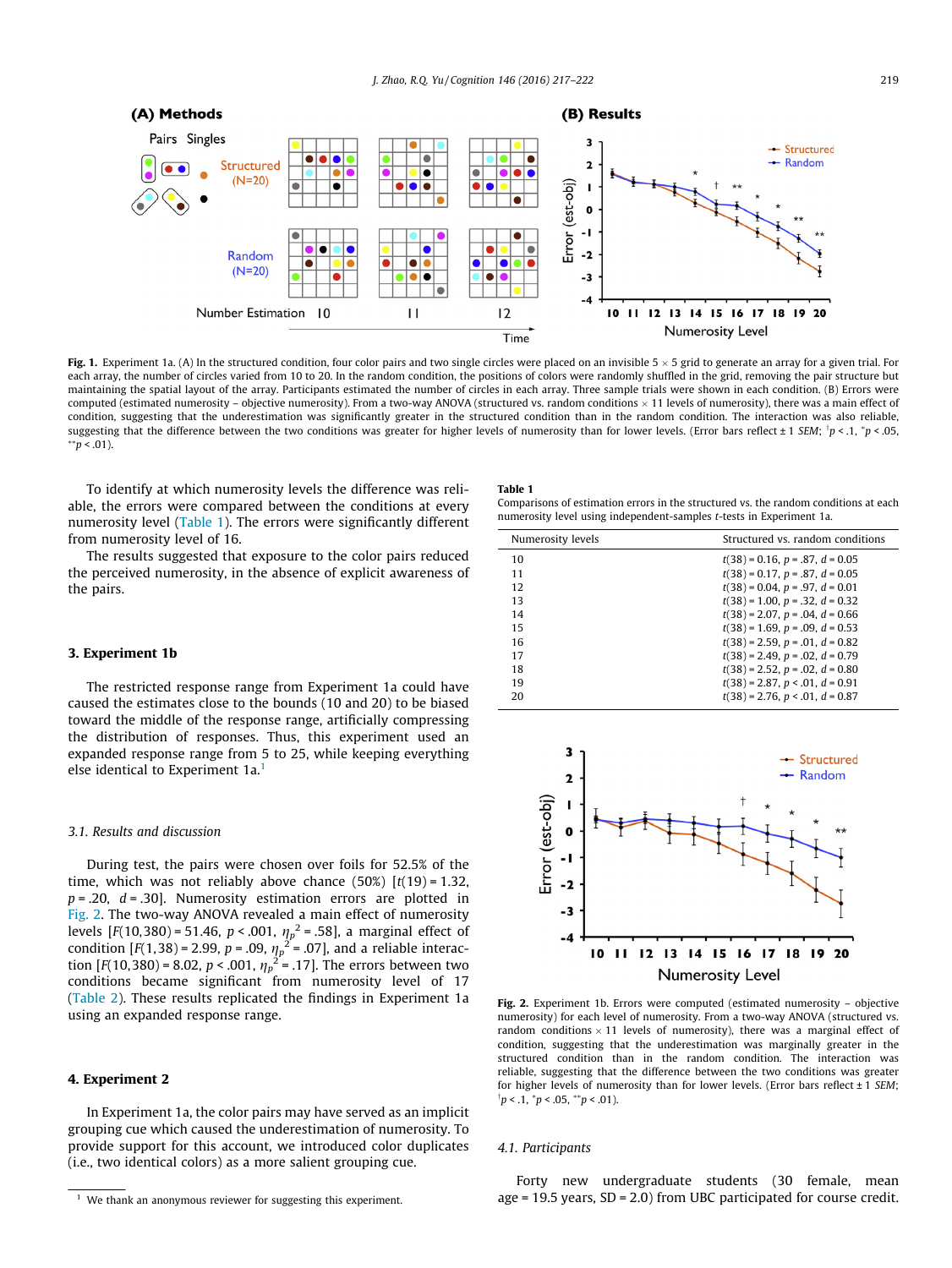<span id="page-2-0"></span>

Fig. 1. Experiment 1a. (A) In the structured condition, four color pairs and two single circles were placed on an invisible  $5 \times 5$  grid to generate an array for a given trial. For each array, the number of circles varied from 10 to 20. In the random condition, the positions of colors were randomly shuffled in the grid, removing the pair structure but maintaining the spatial layout of the array. Participants estimated the number of circles in each array. Three sample trials were shown in each condition. (B) Errors were computed (estimated numerosity – objective numerosity). From a two-way ANOVA (structured vs. random conditions  $\times$  11 levels of numerosity), there was a main effect of condition, suggesting that the underestimation was significantly greater in the structured condition than in the random condition. The interaction was also reliable, suggesting that the difference between the two conditions was greater for higher levels of numerosity than for lower levels. (Error bars reflect ± 1 SEM; <sup>T</sup>p < .1, \*p < .05,  $*$  $p$  < .01).

To identify at which numerosity levels the difference was reliable, the errors were compared between the conditions at every numerosity level (Table 1). The errors were significantly different from numerosity level of 16.

The results suggested that exposure to the color pairs reduced the perceived numerosity, in the absence of explicit awareness of the pairs.

### 3. Experiment 1b

The restricted response range from Experiment 1a could have caused the estimates close to the bounds (10 and 20) to be biased toward the middle of the response range, artificially compressing the distribution of responses. Thus, this experiment used an expanded response range from 5 to 25, while keeping everything else identical to Experiment 1a.<sup>1</sup>

#### 3.1. Results and discussion

During test, the pairs were chosen over foils for 52.5% of the time, which was not reliably above chance  $(50\%)$   $[t(19) = 1.32]$ ,  $p = 0.20$ ,  $d = 0.30$ . Numerosity estimation errors are plotted in Fig. 2. The two-way ANOVA revealed a main effect of numerosity levels  $[F(10,380) = 51.46, p < .001, \eta_p^2 = .58]$ , a marginal effect of condition  $[F(1,38) = 2.99, p = .09, \eta_p^2 = .07]$  and a reliable interaccondition [F(1,38) = 2.99, p = .09,  $\eta_p^2$  = .07], and a reliable interaction [F(10,380) = 8.02, p < .001,  $n_{\rm s}^2$  = .17]. The errors between two tion  $[F(10,380) = 8.02, p < .001, \eta_p^2 = .17]$ . The errors between two conditions became significant from numerosity level of 17 conditions became significant from numerosity level of 17 ([Table 2](#page-3-0)). These results replicated the findings in Experiment 1a using an expanded response range.

## 4. Experiment 2

In Experiment 1a, the color pairs may have served as an implicit grouping cue which caused the underestimation of numerosity. To provide support for this account, we introduced color duplicates (i.e., two identical colors) as a more salient grouping cue.

#### Table 1

Comparisons of estimation errors in the structured vs. the random conditions at each numerosity level using independent-samples t-tests in Experiment 1a.

| Numerosity levels | Structured vs. random conditions        |
|-------------------|-----------------------------------------|
| 10                | $t(38) = 0.16$ , $p = .87$ , $d = 0.05$ |
| 11                | $t(38) = 0.17$ , $p = .87$ , $d = 0.05$ |
| 12                | $t(38) = 0.04$ , $p = .97$ , $d = 0.01$ |
| 13                | $t(38) = 1.00$ , $p = .32$ , $d = 0.32$ |
| 14                | $t(38) = 2.07$ , $p = .04$ , $d = 0.66$ |
| 15                | $t(38) = 1.69$ , $p = .09$ , $d = 0.53$ |
| 16                | $t(38) = 2.59$ , $p = .01$ , $d = 0.82$ |
| 17                | $t(38) = 2.49$ , $p = .02$ , $d = 0.79$ |
| 18                | $t(38) = 2.52$ , $p = .02$ , $d = 0.80$ |
| 19                | $t(38) = 2.87$ , $p < .01$ , $d = 0.91$ |
| 20                | $t(38) = 2.76$ , $p < .01$ , $d = 0.87$ |



Fig. 2. Experiment 1b. Errors were computed (estimated numerosity – objective numerosity) for each level of numerosity. From a two-way ANOVA (structured vs. random conditions  $\times$  11 levels of numerosity), there was a marginal effect of condition, suggesting that the underestimation was marginally greater in the structured condition than in the random condition. The interaction was reliable, suggesting that the difference between the two conditions was greater for higher levels of numerosity than for lower levels. (Error bars reflect  $\pm$  1 SEM;  $\pi p < .1, \pi p < .05, \pi p < .01$ ).

### 4.1. Participants

Forty new undergraduate students (30 female, mean age = 19.5 years, SD = 2.0) from UBC participated for course credit.

 $1$  We thank an anonymous reviewer for suggesting this experiment.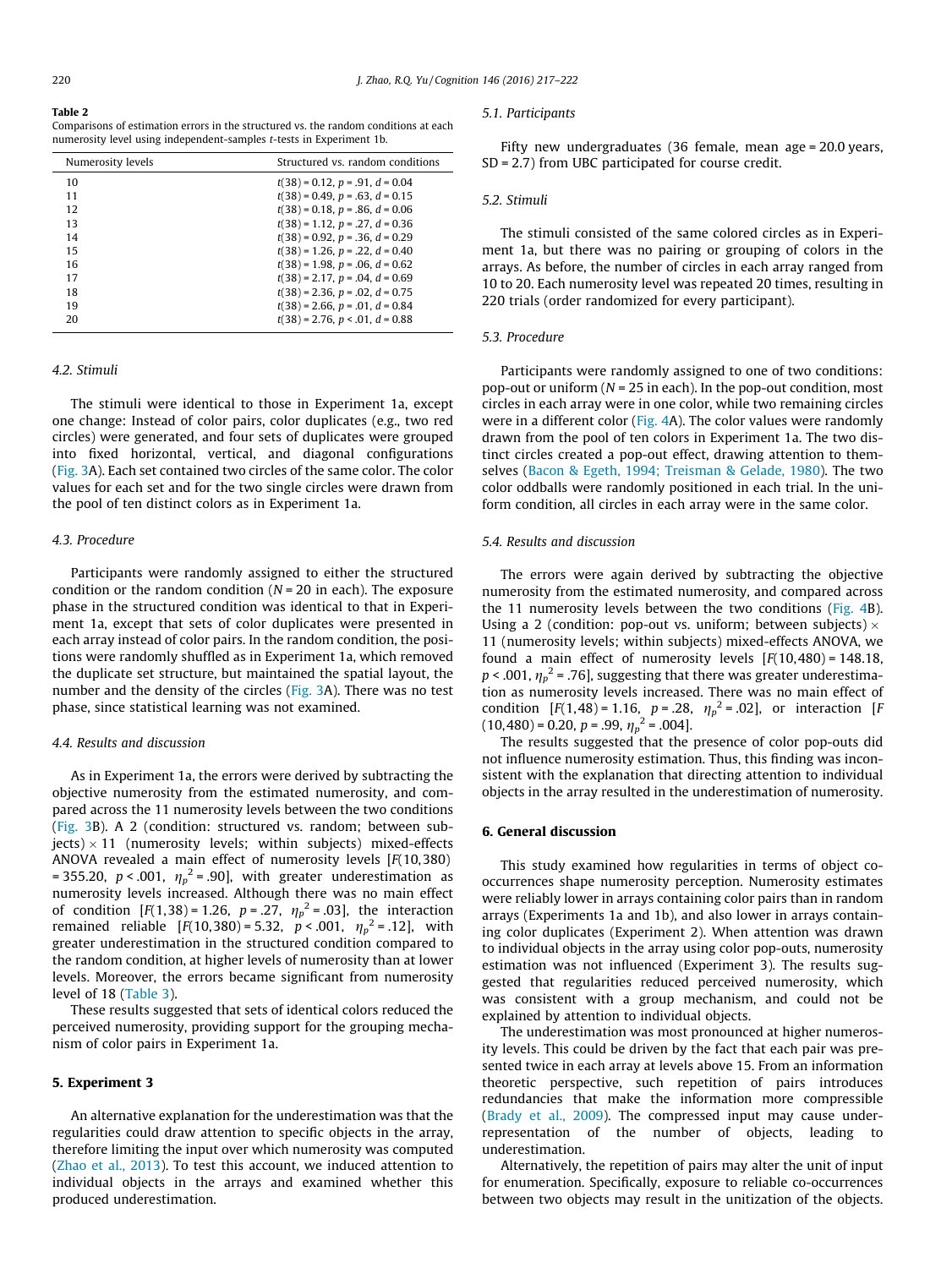#### <span id="page-3-0"></span>Table 2

Comparisons of estimation errors in the structured vs. the random conditions at each numerosity level using independent-samples t-tests in Experiment 1b.

| Numerosity levels | Structured vs. random conditions         |
|-------------------|------------------------------------------|
| 10                | $t(38) = 0.12$ , $p = .91$ , $d = 0.04$  |
| 11                | $t(38) = 0.49$ , $p = .63$ , $d = 0.15$  |
| 12                | $t(38) = 0.18$ , $p = .86$ , $d = 0.06$  |
| 13                | $t(38) = 1.12$ , $p = .27$ , $d = 0.36$  |
| 14                | $t(38) = 0.92$ , $p = 0.36$ , $d = 0.29$ |
| 15                | $t(38) = 1.26$ , $p = .22$ , $d = 0.40$  |
| 16                | $t(38) = 1.98$ , $p = .06$ , $d = 0.62$  |
| 17                | $t(38) = 2.17$ , $p = .04$ , $d = 0.69$  |
| 18                | $t(38) = 2.36$ , $p = .02$ , $d = 0.75$  |
| 19                | $t(38) = 2.66$ , $p = .01$ , $d = 0.84$  |
| 20                | $t(38) = 2.76$ , $p < .01$ , $d = 0.88$  |

#### 4.2. Stimuli

The stimuli were identical to those in Experiment 1a, except one change: Instead of color pairs, color duplicates (e.g., two red circles) were generated, and four sets of duplicates were grouped into fixed horizontal, vertical, and diagonal configurations ([Fig. 3](#page-4-0)A). Each set contained two circles of the same color. The color values for each set and for the two single circles were drawn from the pool of ten distinct colors as in Experiment 1a.

#### 4.3. Procedure

Participants were randomly assigned to either the structured condition or the random condition  $(N = 20$  in each). The exposure phase in the structured condition was identical to that in Experiment 1a, except that sets of color duplicates were presented in each array instead of color pairs. In the random condition, the positions were randomly shuffled as in Experiment 1a, which removed the duplicate set structure, but maintained the spatial layout, the number and the density of the circles [\(Fig. 3A](#page-4-0)). There was no test phase, since statistical learning was not examined.

#### 4.4. Results and discussion

As in Experiment 1a, the errors were derived by subtracting the objective numerosity from the estimated numerosity, and compared across the 11 numerosity levels between the two conditions ([Fig. 3B](#page-4-0)). A 2 (condition: structured vs. random; between sub $jects)$  × 11 (numerosity levels; within subjects) mixed-effects ANOVA revealed a main effect of numerosity levels  $[F(10, 380)]$ = 355.20, p < .001,  $\eta_p^2$  = .90], with greater underestimation as<br>numerosity levels increased. Although there was no main effect numerosity levels increased. Although there was no main effect of condition  $[F(1,38) = 1.26, p = .27, \eta_p^2 = .03]$ , the interaction<br>remained reliable  $[F(10, 380) = 5.32, p < .001, n_c^2 = .12]$  with remained reliable  $[F(10,380) = 5.32, p < .001, \eta_p^2 = .12]$ , with greater underestimation in the structured condition compared to greater underestimation in the structured condition compared to the random condition, at higher levels of numerosity than at lower levels. Moreover, the errors became significant from numerosity level of 18 [\(Table 3](#page-4-0)).

These results suggested that sets of identical colors reduced the perceived numerosity, providing support for the grouping mechanism of color pairs in Experiment 1a.

### 5. Experiment 3

An alternative explanation for the underestimation was that the regularities could draw attention to specific objects in the array, therefore limiting the input over which numerosity was computed ([Zhao et al., 2013\)](#page-5-0). To test this account, we induced attention to individual objects in the arrays and examined whether this produced underestimation.

#### 5.1. Participants

Fifty new undergraduates (36 female, mean age = 20.0 years, SD = 2.7) from UBC participated for course credit.

#### 5.2. Stimuli

The stimuli consisted of the same colored circles as in Experiment 1a, but there was no pairing or grouping of colors in the arrays. As before, the number of circles in each array ranged from 10 to 20. Each numerosity level was repeated 20 times, resulting in 220 trials (order randomized for every participant).

#### 5.3. Procedure

Participants were randomly assigned to one of two conditions: pop-out or uniform ( $N = 25$  in each). In the pop-out condition, most circles in each array were in one color, while two remaining circles were in a different color [\(Fig. 4A](#page-4-0)). The color values were randomly drawn from the pool of ten colors in Experiment 1a. The two distinct circles created a pop-out effect, drawing attention to themselves ([Bacon & Egeth, 1994; Treisman & Gelade, 1980](#page-5-0)). The two color oddballs were randomly positioned in each trial. In the uniform condition, all circles in each array were in the same color.

#### 5.4. Results and discussion

The errors were again derived by subtracting the objective numerosity from the estimated numerosity, and compared across the 11 numerosity levels between the two conditions [\(Fig. 4B](#page-4-0)). Using a 2 (condition: pop-out vs. uniform; between subjects)  $\times$ 11 (numerosity levels; within subjects) mixed-effects ANOVA, we found a main effect of numerosity levels  $[F(10, 480) = 148.18]$ ,  $p < .001$ ,  $\eta_p^2 = .76$ ], suggesting that there was greater underestimation as numerosity levels increased. There was no main effect of tion as numerosity levels increased. There was no main effect of condition  $[F(1,48) = 1.16, p = .28, \eta_p^2 = .02]$ , or interaction  $[F(1,48) = 0.20, p = .99, \eta_p^2 = .004]$  $(10,480) = 0.20, p = .99, \eta_p^2 = .004$ .<br>The results suggested that the

The results suggested that the presence of color pop-outs did not influence numerosity estimation. Thus, this finding was inconsistent with the explanation that directing attention to individual objects in the array resulted in the underestimation of numerosity.

#### 6. General discussion

This study examined how regularities in terms of object cooccurrences shape numerosity perception. Numerosity estimates were reliably lower in arrays containing color pairs than in random arrays (Experiments 1a and 1b), and also lower in arrays containing color duplicates (Experiment 2). When attention was drawn to individual objects in the array using color pop-outs, numerosity estimation was not influenced (Experiment 3). The results suggested that regularities reduced perceived numerosity, which was consistent with a group mechanism, and could not be explained by attention to individual objects.

The underestimation was most pronounced at higher numerosity levels. This could be driven by the fact that each pair was presented twice in each array at levels above 15. From an information theoretic perspective, such repetition of pairs introduces redundancies that make the information more compressible ([Brady et al., 2009\)](#page-5-0). The compressed input may cause underrepresentation of the number of objects, leading underestimation.

Alternatively, the repetition of pairs may alter the unit of input for enumeration. Specifically, exposure to reliable co-occurrences between two objects may result in the unitization of the objects.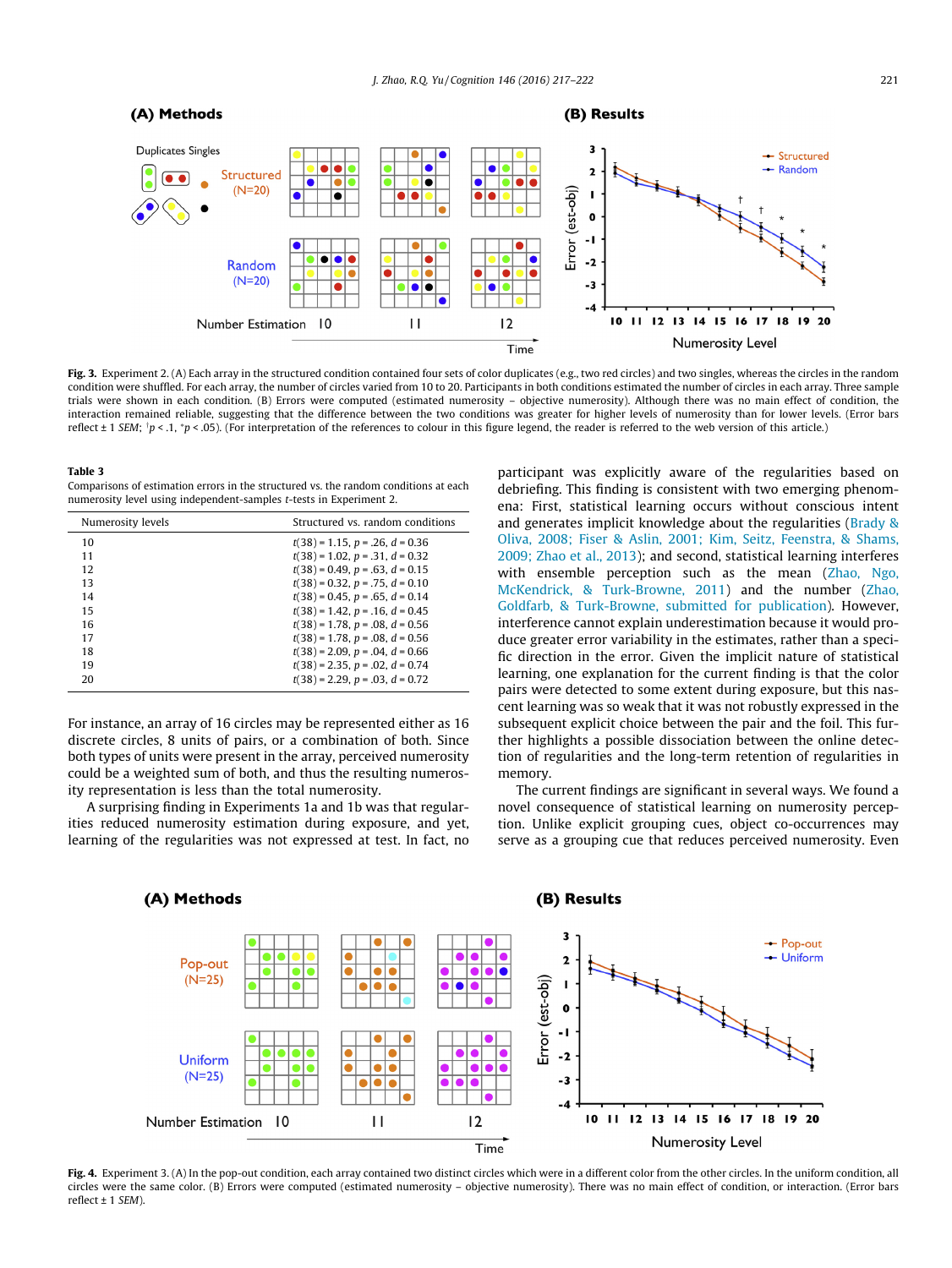<span id="page-4-0"></span>

Fig. 3. Experiment 2. (A) Each array in the structured condition contained four sets of color duplicates (e.g., two red circles) and two singles, whereas the circles in the random condition were shuffled. For each array, the number of circles varied from 10 to 20. Participants in both conditions estimated the number of circles in each array. Three sample trials were shown in each condition. (B) Errors were computed (estimated numerosity – objective numerosity). Although there was no main effect of condition, the interaction remained reliable, suggesting that the difference between the two conditions was greater for higher levels of numerosity than for lower levels. (Error bars reflect ± 1 SEM; <sup>т</sup>р < .1, \*p < .05). (For interpretation of the references to colour in this figure legend, the reader is referred to the web version of this article.)

#### Table 3

| Comparisons of estimation errors in the structured vs. the random conditions at each |  |
|--------------------------------------------------------------------------------------|--|
| numerosity level using independent-samples <i>t</i> -tests in Experiment 2.          |  |

| Numerosity levels | Structured vs. random conditions        |
|-------------------|-----------------------------------------|
| 10                | $t(38) = 1.15$ , $p = .26$ , $d = 0.36$ |
| 11                | $t(38) = 1.02$ , $p = .31$ , $d = 0.32$ |
| 12                | $t(38) = 0.49$ , $p = .63$ , $d = 0.15$ |
| 13                | $t(38) = 0.32$ , $p = .75$ , $d = 0.10$ |
| 14                | $t(38) = 0.45$ , $p = .65$ , $d = 0.14$ |
| 15                | $t(38) = 1.42$ , $p = .16$ , $d = 0.45$ |
| 16                | $t(38) = 1.78$ , $p = .08$ , $d = 0.56$ |
| 17                | $t(38) = 1.78$ , $p = .08$ , $d = 0.56$ |
| 18                | $t(38) = 2.09$ , $p = .04$ , $d = 0.66$ |
| 19                | $t(38) = 2.35$ , $p = .02$ , $d = 0.74$ |
| 20                | $t(38) = 2.29$ , $p = .03$ , $d = 0.72$ |

For instance, an array of 16 circles may be represented either as 16 discrete circles, 8 units of pairs, or a combination of both. Since both types of units were present in the array, perceived numerosity could be a weighted sum of both, and thus the resulting numerosity representation is less than the total numerosity.

A surprising finding in Experiments 1a and 1b was that regularities reduced numerosity estimation during exposure, and yet, learning of the regularities was not expressed at test. In fact, no participant was explicitly aware of the regularities based on debriefing. This finding is consistent with two emerging phenomena: First, statistical learning occurs without conscious intent and generates implicit knowledge about the regularities [\(Brady &](#page-5-0) [Oliva, 2008; Fiser & Aslin, 2001; Kim, Seitz, Feenstra, & Shams,](#page-5-0) [2009; Zhao et al., 2013](#page-5-0)); and second, statistical learning interferes with ensemble perception such as the mean [\(Zhao, Ngo,](#page-5-0) [McKendrick, & Turk-Browne, 2011](#page-5-0)) and the number [\(Zhao,](#page-5-0) [Goldfarb, & Turk-Browne, submitted for publication](#page-5-0)). However, interference cannot explain underestimation because it would produce greater error variability in the estimates, rather than a specific direction in the error. Given the implicit nature of statistical learning, one explanation for the current finding is that the color pairs were detected to some extent during exposure, but this nascent learning was so weak that it was not robustly expressed in the subsequent explicit choice between the pair and the foil. This further highlights a possible dissociation between the online detection of regularities and the long-term retention of regularities in memory.

The current findings are significant in several ways. We found a novel consequence of statistical learning on numerosity perception. Unlike explicit grouping cues, object co-occurrences may serve as a grouping cue that reduces perceived numerosity. Even



Fig. 4. Experiment 3. (A) In the pop-out condition, each array contained two distinct circles which were in a different color from the other circles. In the uniform condition, all circles were the same color. (B) Errors were computed (estimated numerosity – objective numerosity). There was no main effect of condition, or interaction. (Error bars reflect  $\pm$  1 SEM).